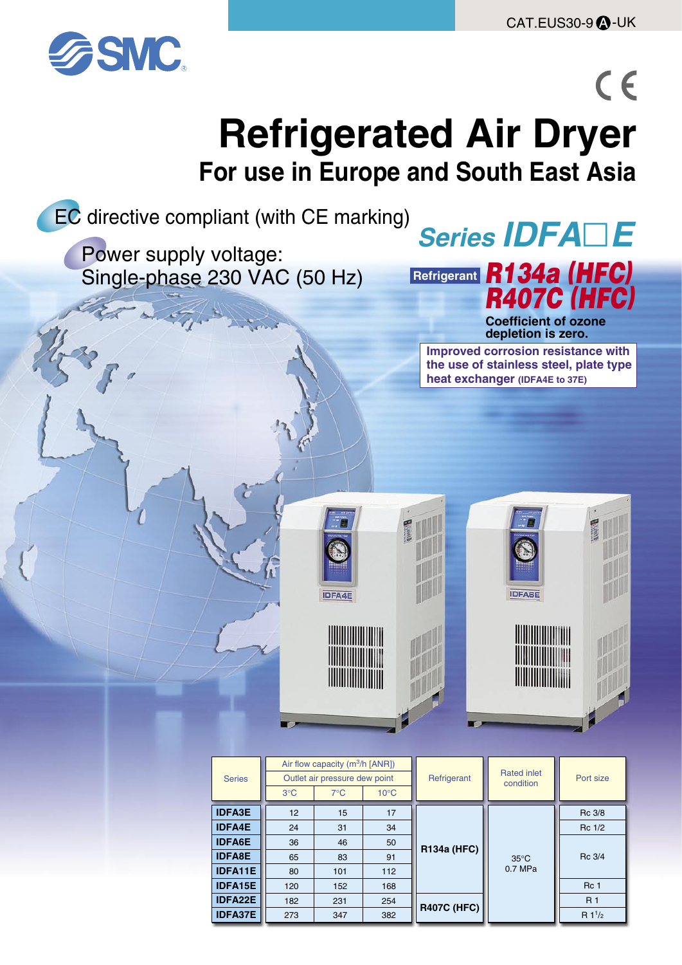$R$  1<sup>1</sup>/<sub>2</sub>



## $C \in$ **Refrigerated Air Dryer For use in Europe and South East Asia**



**IDFA37E**

273

347

382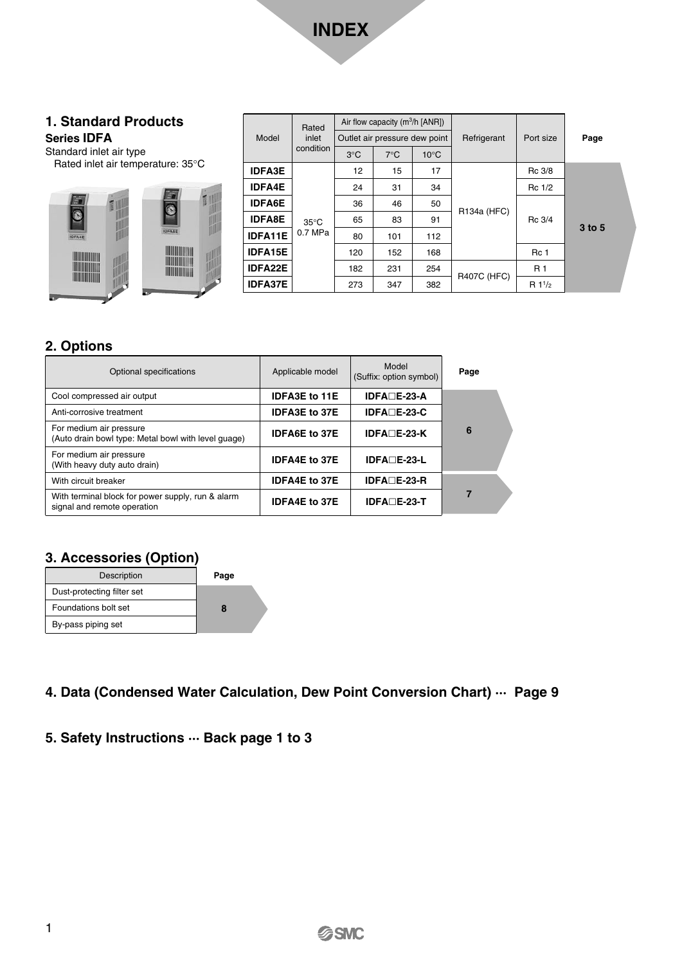

#### **1. Standard Products Series IDFA**

Standard inlet air type

Rated inlet air temperature: 35°C



|                | Rated          |               | Air flow capacity ( $m^3/h$ [ANR]) |                |                    |                |        |  |
|----------------|----------------|---------------|------------------------------------|----------------|--------------------|----------------|--------|--|
| Model          | inlet          |               | Outlet air pressure dew point      |                | Refrigerant        | Port size      | Page   |  |
|                | condition      | $3^{\circ}$ C | $7^{\circ}$ C                      | $10^{\circ}$ C |                    |                |        |  |
| <b>IDFA3E</b>  |                | 12            | 15                                 | 17             |                    | Rc 3/8         |        |  |
| <b>IDFA4E</b>  |                | 24            | 31                                 | 34             | R134a (HFC)        | Rc 1/2         |        |  |
| <b>IDFA6E</b>  |                | 36            | 46                                 | 50             |                    | Rc 3/4         | 3 to 5 |  |
| <b>IDFA8E</b>  | $35^{\circ}$ C | 65            | 83                                 | 91             |                    |                |        |  |
| <b>IDFA11E</b> | 0.7 MPa        | 80            | 101                                | 112            |                    |                |        |  |
| <b>IDFA15E</b> |                | 120           | 152                                | 168            |                    | Rc 1           |        |  |
| <b>IDFA22E</b> |                | 182           | 231                                | 254            | <b>R407C (HFC)</b> | R <sub>1</sub> |        |  |
| <b>IDFA37E</b> |                | 273           | 347                                | 382            |                    | $R1^{1/2}$     |        |  |

#### **2. Options**

| Optional specifications                                                          | Applicable model     | Model<br>(Suffix: option symbol) | Page |
|----------------------------------------------------------------------------------|----------------------|----------------------------------|------|
| Cool compressed air output                                                       | <b>IDFA3E to 11E</b> | $IDFADE-23-A$                    |      |
| Anti-corrosive treatment                                                         | <b>IDFA3E to 37E</b> | $IDFA□E-23-C$                    |      |
| For medium air pressure<br>(Auto drain bowl type: Metal bowl with level quage)   | <b>IDFA6E to 37E</b> | $IDFADE-23-K$                    | 6    |
| For medium air pressure<br>(With heavy duty auto drain)                          | <b>IDFA4E to 37E</b> | <b>IDFA</b> □E-23-L              |      |
| With circuit breaker                                                             | <b>IDFA4E to 37E</b> | $IDFADE-23-R$                    |      |
| With terminal block for power supply, run & alarm<br>signal and remote operation | <b>IDFA4E to 37E</b> | $IDFADE-23T$                     | 7    |

#### **3. Accessories (Option)**

| Description                | Page |
|----------------------------|------|
| Dust-protecting filter set |      |
| Foundations bolt set       |      |
| By-pass piping set         |      |

**4. Data (Condensed Water Calculation, Dew Point Conversion Chart) ··· Page 9**

#### **5. Safety Instructions ··· Back page 1 to 3**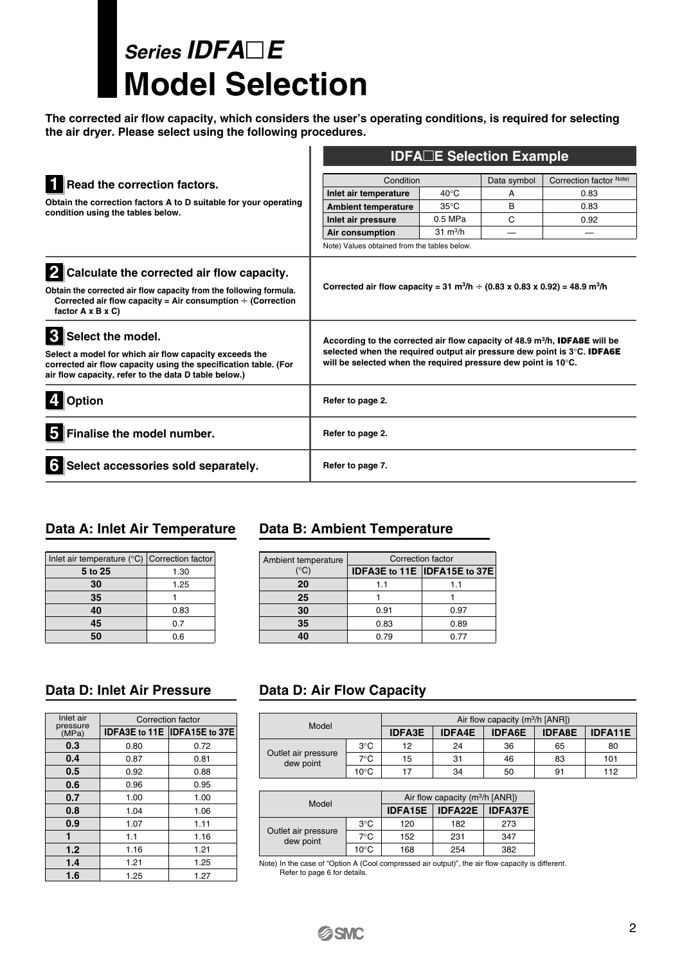## **Series IDFAE Model Selection**

**The corrected air flow capacity, which considers the user's operating conditions, is required for selecting the air dryer. Please select using the following procedures.** 

|                                                                                                                                                                                                                        | <b>IDFA</b> □E Selection Example                                                                                                                                                                                                                  |                    |             |                         |  |  |  |
|------------------------------------------------------------------------------------------------------------------------------------------------------------------------------------------------------------------------|---------------------------------------------------------------------------------------------------------------------------------------------------------------------------------------------------------------------------------------------------|--------------------|-------------|-------------------------|--|--|--|
| Read the correction factors.                                                                                                                                                                                           | Condition                                                                                                                                                                                                                                         |                    | Data symbol | Correction factor Note) |  |  |  |
|                                                                                                                                                                                                                        | Inlet air temperature                                                                                                                                                                                                                             | $40^{\circ}$ C     | A           | 0.83                    |  |  |  |
| Obtain the correction factors A to D suitable for your operating                                                                                                                                                       | <b>Ambient temperature</b>                                                                                                                                                                                                                        | $35^{\circ}$ C     | B           | 0.83                    |  |  |  |
| condition using the tables below.                                                                                                                                                                                      | Inlet air pressure                                                                                                                                                                                                                                | $0.5$ MPa          | C           | 0.92                    |  |  |  |
|                                                                                                                                                                                                                        | Air consumption                                                                                                                                                                                                                                   | $31 \text{ m}^3/h$ |             |                         |  |  |  |
|                                                                                                                                                                                                                        | Note) Values obtained from the tables below.                                                                                                                                                                                                      |                    |             |                         |  |  |  |
| Calculate the corrected air flow capacity.                                                                                                                                                                             |                                                                                                                                                                                                                                                   |                    |             |                         |  |  |  |
| Obtain the corrected air flow capacity from the following formula.<br>Corrected air flow capacity = Air consumption $\div$ (Correction<br>factor $A \times B \times C$                                                 | Corrected air flow capacity = 31 m <sup>3</sup> /h $\div$ (0.83 x 0.83 x 0.92) = 48.9 m <sup>3</sup> /h                                                                                                                                           |                    |             |                         |  |  |  |
| $\mathbf{3}$<br>Select the model.<br>Select a model for which air flow capacity exceeds the<br>corrected air flow capacity using the specification table. (For<br>air flow capacity, refer to the data D table below.) | According to the corrected air flow capacity of 48.9 m <sup>3</sup> /h, <b>IDFA8E</b> will be<br>selected when the required output air pressure dew point is 3°C. <b>IDFA6E</b><br>will be selected when the required pressure dew point is 10°C. |                    |             |                         |  |  |  |
| <b>Option</b>                                                                                                                                                                                                          | Refer to page 2.                                                                                                                                                                                                                                  |                    |             |                         |  |  |  |
| Finalise the model number.<br>5                                                                                                                                                                                        | Refer to page 2.                                                                                                                                                                                                                                  |                    |             |                         |  |  |  |
| Select accessories sold separately.<br>6                                                                                                                                                                               | Refer to page 7.                                                                                                                                                                                                                                  |                    |             |                         |  |  |  |

| Inlet air temperature ( $\degree$ C) Correction factor |      |
|--------------------------------------------------------|------|
| 5 to 25                                                | 1.30 |
| 30                                                     | 1.25 |
| 35                                                     |      |
| 40                                                     | 0.83 |
| 45                                                     | 0.7  |
|                                                        | 0.6  |

#### **Data A: Inlet Air Temperature Data B: Ambient Temperature**

| Ambient temperature | Correction factor |                               |  |  |  |  |
|---------------------|-------------------|-------------------------------|--|--|--|--|
| '°C)                |                   | IDFA3E to 11E  IDFA15E to 37E |  |  |  |  |
| 20                  | 1.1               | 1.1                           |  |  |  |  |
| 25                  |                   |                               |  |  |  |  |
| 30                  | 0.91              | 0.97                          |  |  |  |  |
| 35                  | 0.83              | 0.89                          |  |  |  |  |
| 40                  | 0.79              | 0.77                          |  |  |  |  |

| Inlet air         | Correction factor |                               |  |  |  |  |  |
|-------------------|-------------------|-------------------------------|--|--|--|--|--|
| pressure<br>(MPa) |                   | IDFA3E to 11E  IDFA15E to 37E |  |  |  |  |  |
| 0.3               | 0.80              | 0.72                          |  |  |  |  |  |
| 0.4               | 0.87              | 0.81                          |  |  |  |  |  |
| 0.5               | 0.92              | 0.88                          |  |  |  |  |  |
| 0.6               | 0.96              | 0.95                          |  |  |  |  |  |
| 0.7               | 1.00              | 1.00                          |  |  |  |  |  |
| 0.8               | 1.04              | 1.06                          |  |  |  |  |  |
| 0.9               | 1.07              | 1.11                          |  |  |  |  |  |
|                   | 1.1               | 1.16                          |  |  |  |  |  |
| 1.2               | 1.16              | 1.21                          |  |  |  |  |  |
| 1.4               | 1.21              | 1.25                          |  |  |  |  |  |
| 1.6               | 1.25              | 1.27                          |  |  |  |  |  |

#### **Data D: Inlet Air Pressure Data D: Air Flow Capacity**

| Model                            |               | Air flow capacity $(m^3/h  ANR )$ |               |               |                                 |     |  |  |  |  |
|----------------------------------|---------------|-----------------------------------|---------------|---------------|---------------------------------|-----|--|--|--|--|
|                                  |               | <b>IDFA3E</b>                     | <b>IDFA4E</b> | <b>IDFA6E</b> | <b>IDFA11E</b><br><b>IDFA8E</b> |     |  |  |  |  |
|                                  | $3^{\circ}$ C | 12                                | 24            | 36            | 65                              | 80  |  |  |  |  |
| Outlet air pressure<br>dew point | 7°C           | 15                                | 31            | 46            | 83                              | 101 |  |  |  |  |
|                                  | 10°C          |                                   | 34            | 50            | 91                              | 112 |  |  |  |  |

| Model                            |                |                                             | Air flow capacity ( $m^3/h$ [ANR]) |     |  |  |
|----------------------------------|----------------|---------------------------------------------|------------------------------------|-----|--|--|
|                                  |                | IDFA22E<br><b>IDFA15E</b><br><b>IDFA37E</b> |                                    |     |  |  |
|                                  | $3^{\circ}$ C  | 120                                         | 182                                | 273 |  |  |
| Outlet air pressure<br>dew point | $7^{\circ}$ C  | 152                                         | 231                                | 347 |  |  |
|                                  | $10^{\circ}$ C | 168                                         | 254                                | 382 |  |  |

Note) In the case of "Option A (Cool compressed air output)", the air flow capacity is different. Refer to page 6 for details.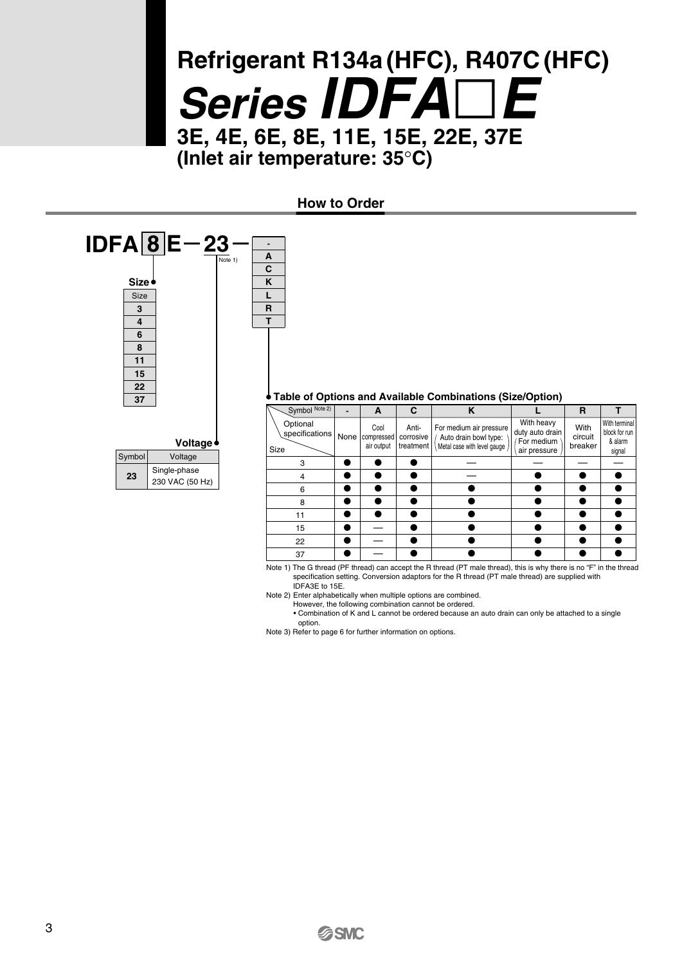## **Refrigerant R134a (HFC), R407C (HFC) Series IDFAE 3E, 4E, 6E, 8E, 11E, 15E, 22E, 37E (Inlet air temperature: 35**°**C)**

**How to Order**



Note 1) The G thread (PF thread) can accept the R thread (PT male thread), this is why there is no "F" in the thread specification setting. Conversion adaptors for the R thread (PT male thread) are supplied with IDFA3E to 15E.

Note 2) Enter alphabetically when multiple options are combined. However, the following combination cannot be ordered.

• Combination of K and L cannot be ordered because an auto drain can only be attached to a single

option.

Note 3) Refer to page 6 for further information on options.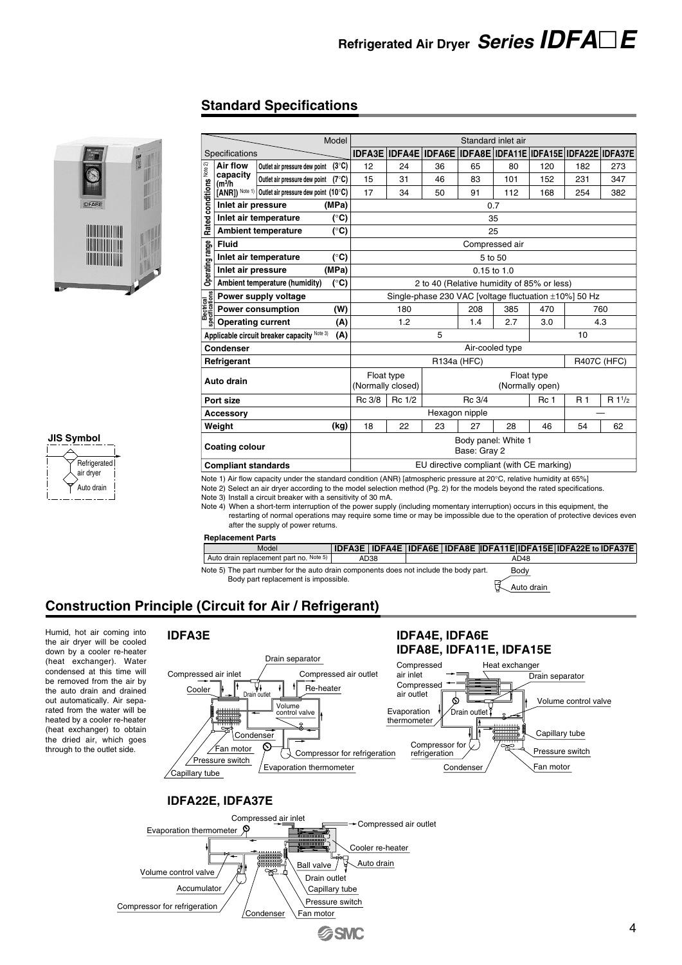#### **Standard Specifications**



#### **JIS Symbol**



|                                                  |                 |                                                                                                                                                                             |                                                                                                                                                                                                                                                                                                                                                                                                                                                                                                  | Model                                                 |                                                                                   |                                 |                                                                           |                                     | Standard inlet air                                                |                               |     |                    |  |
|--------------------------------------------------|-----------------|-----------------------------------------------------------------------------------------------------------------------------------------------------------------------------|--------------------------------------------------------------------------------------------------------------------------------------------------------------------------------------------------------------------------------------------------------------------------------------------------------------------------------------------------------------------------------------------------------------------------------------------------------------------------------------------------|-------------------------------------------------------|-----------------------------------------------------------------------------------|---------------------------------|---------------------------------------------------------------------------|-------------------------------------|-------------------------------------------------------------------|-------------------------------|-----|--------------------|--|
|                                                  |                 | Specifications                                                                                                                                                              |                                                                                                                                                                                                                                                                                                                                                                                                                                                                                                  |                                                       |                                                                                   |                                 | IDFA3E   IDFA4E   IDFA6E   IDFA8E   IDFA11E   IDFA15E   IDFA22E   IDFA37E |                                     |                                                                   |                               |     |                    |  |
|                                                  |                 | <b>Air flow</b>                                                                                                                                                             | Outlet air pressure dew point                                                                                                                                                                                                                                                                                                                                                                                                                                                                    | $(3^{\circ}C)$                                        | 12                                                                                | 24                              | 36                                                                        | 65                                  | 80                                                                | 120                           | 182 | 273                |  |
|                                                  | Note 2)         | capacity                                                                                                                                                                    | Outlet air pressure dew point                                                                                                                                                                                                                                                                                                                                                                                                                                                                    | $(7^{\circ}C)$                                        | 15                                                                                | 31                              | 46                                                                        | 83                                  | 101                                                               | 152                           | 231 | 347                |  |
|                                                  |                 | (m <sup>3</sup> /h)                                                                                                                                                         | [ANR]) Note 1) Outlet air pressure dew point (10°C)                                                                                                                                                                                                                                                                                                                                                                                                                                              |                                                       | 17                                                                                | 34                              | 50                                                                        | 91                                  | 112                                                               | 168                           | 254 | 382                |  |
|                                                  | conditions      | Inlet air pressure                                                                                                                                                          |                                                                                                                                                                                                                                                                                                                                                                                                                                                                                                  | (MPa)                                                 |                                                                                   |                                 |                                                                           |                                     | 0.7                                                               |                               |     |                    |  |
|                                                  |                 |                                                                                                                                                                             |                                                                                                                                                                                                                                                                                                                                                                                                                                                                                                  |                                                       |                                                                                   |                                 |                                                                           |                                     |                                                                   |                               |     |                    |  |
|                                                  | <b>Rated</b>    |                                                                                                                                                                             | Inlet air temperature                                                                                                                                                                                                                                                                                                                                                                                                                                                                            | (°C)                                                  |                                                                                   |                                 |                                                                           |                                     | 35                                                                |                               |     |                    |  |
|                                                  |                 |                                                                                                                                                                             | <b>Ambient temperature</b>                                                                                                                                                                                                                                                                                                                                                                                                                                                                       | $(^\circ \text{C})$                                   |                                                                                   |                                 |                                                                           |                                     | 25                                                                |                               |     |                    |  |
|                                                  |                 | <b>Fluid</b>                                                                                                                                                                |                                                                                                                                                                                                                                                                                                                                                                                                                                                                                                  |                                                       |                                                                                   |                                 |                                                                           |                                     | Compressed air                                                    |                               |     |                    |  |
|                                                  |                 |                                                                                                                                                                             | Inlet air temperature                                                                                                                                                                                                                                                                                                                                                                                                                                                                            | (°C)                                                  |                                                                                   |                                 |                                                                           |                                     | 5 to 50                                                           |                               |     |                    |  |
|                                                  | Operating range | Inlet air pressure                                                                                                                                                          |                                                                                                                                                                                                                                                                                                                                                                                                                                                                                                  | (MPa)                                                 |                                                                                   |                                 |                                                                           |                                     | $0.15$ to $1.0$                                                   |                               |     |                    |  |
|                                                  |                 |                                                                                                                                                                             | Ambient temperature (humidity)                                                                                                                                                                                                                                                                                                                                                                                                                                                                   | $(^\circ \text{C})$                                   |                                                                                   |                                 | 2 to 40 (Relative humidity of 85% or less)                                |                                     |                                                                   |                               |     |                    |  |
|                                                  |                 | $\begin{array}{l} \frac{2}{3} \\ \frac{1}{3} \\ \frac{1}{3} \\ \frac{1}{3} \\ \frac{1}{3} \\ \frac{1}{3} \\ \frac{2}{3} \end{array}$ Power consumption<br>Depending current | Power supply voltage                                                                                                                                                                                                                                                                                                                                                                                                                                                                             |                                                       |                                                                                   |                                 | Single-phase 230 VAC [voltage fluctuation ±10%] 50 Hz                     |                                     |                                                                   |                               |     |                    |  |
|                                                  |                 |                                                                                                                                                                             | <b>Power consumption</b>                                                                                                                                                                                                                                                                                                                                                                                                                                                                         | (W)                                                   |                                                                                   | 180                             |                                                                           | 208                                 | 385                                                               | 470                           |     | 760                |  |
|                                                  |                 |                                                                                                                                                                             |                                                                                                                                                                                                                                                                                                                                                                                                                                                                                                  | (A)                                                   |                                                                                   | 1.2                             |                                                                           | 1.4                                 | 2.7                                                               | 3.0                           |     | 4.3                |  |
|                                                  |                 |                                                                                                                                                                             | Applicable circuit breaker capacity $\text{Note 3}$                                                                                                                                                                                                                                                                                                                                                                                                                                              | (A)                                                   |                                                                                   |                                 | 5                                                                         |                                     |                                                                   |                               | 10  |                    |  |
|                                                  |                 | <b>Condenser</b>                                                                                                                                                            |                                                                                                                                                                                                                                                                                                                                                                                                                                                                                                  |                                                       |                                                                                   |                                 |                                                                           |                                     | Air-cooled type                                                   |                               |     |                    |  |
|                                                  |                 | Refrigerant                                                                                                                                                                 |                                                                                                                                                                                                                                                                                                                                                                                                                                                                                                  |                                                       |                                                                                   |                                 |                                                                           | R134a (HFC)                         |                                                                   |                               |     | <b>R407C (HFC)</b> |  |
|                                                  |                 | Auto drain                                                                                                                                                                  |                                                                                                                                                                                                                                                                                                                                                                                                                                                                                                  |                                                       |                                                                                   | Float type<br>(Normally closed) |                                                                           |                                     |                                                                   | Float type<br>(Normally open) |     |                    |  |
|                                                  |                 | Port size                                                                                                                                                                   |                                                                                                                                                                                                                                                                                                                                                                                                                                                                                                  |                                                       | Rc 3/8                                                                            | Rc 1/2                          |                                                                           | Rc 3/4                              |                                                                   | Rc 1                          | R 1 | $R1^{1/2}$         |  |
|                                                  |                 | Accessory                                                                                                                                                                   |                                                                                                                                                                                                                                                                                                                                                                                                                                                                                                  |                                                       |                                                                                   |                                 |                                                                           | Hexagon nipple                      |                                                                   |                               |     |                    |  |
|                                                  |                 | Weight                                                                                                                                                                      |                                                                                                                                                                                                                                                                                                                                                                                                                                                                                                  | (kg)                                                  | 18                                                                                | 22                              | 23                                                                        | 27                                  | 28                                                                | 46                            | 54  | 62                 |  |
|                                                  |                 | <b>Coating colour</b>                                                                                                                                                       |                                                                                                                                                                                                                                                                                                                                                                                                                                                                                                  |                                                       | Body panel: White 1<br>Base: Gray 2                                               |                                 |                                                                           |                                     |                                                                   |                               |     |                    |  |
|                                                  |                 | <b>Compliant standards</b>                                                                                                                                                  |                                                                                                                                                                                                                                                                                                                                                                                                                                                                                                  |                                                       | EU directive compliant (with CE marking)                                          |                                 |                                                                           |                                     |                                                                   |                               |     |                    |  |
|                                                  |                 |                                                                                                                                                                             | Note 2) Select an air dryer according to the model selection method (Pg. 2) for the models beyond the rated specifications.<br>Note 3) Install a circuit breaker with a sensitivity of 30 mA.<br>Note 4) When a short-term interruption of the power supply (including momentary interruption) occurs in this equipment, the<br>restarting of normal operations may require some time or may be impossible due to the operation of protective devices even<br>after the supply of power returns. |                                                       |                                                                                   |                                 |                                                                           |                                     |                                                                   |                               |     |                    |  |
|                                                  |                 | <b>Replacement Parts</b>                                                                                                                                                    |                                                                                                                                                                                                                                                                                                                                                                                                                                                                                                  |                                                       |                                                                                   |                                 |                                                                           |                                     |                                                                   |                               |     |                    |  |
|                                                  |                 |                                                                                                                                                                             | Model                                                                                                                                                                                                                                                                                                                                                                                                                                                                                            |                                                       | IDFA3E   IDFA4E   IDFA6E   IDFA8E   IDFA11E   IDFA15E   IDFA22E to IDFA37E        |                                 |                                                                           |                                     |                                                                   |                               |     |                    |  |
|                                                  |                 |                                                                                                                                                                             | Auto drain replacement part no. Note 5)                                                                                                                                                                                                                                                                                                                                                                                                                                                          |                                                       | AD38                                                                              |                                 |                                                                           |                                     | AD48                                                              |                               |     |                    |  |
|                                                  |                 |                                                                                                                                                                             | Note 5) The part number for the auto drain components does not include the body part.<br>Body part replacement is impossible.<br>inciple (Circuit for Air / Refrigerant)                                                                                                                                                                                                                                                                                                                         |                                                       |                                                                                   |                                 |                                                                           |                                     | Body                                                              | Auto drain                    |     |                    |  |
| <b>IDFA3E</b>                                    |                 |                                                                                                                                                                             | Drain separator                                                                                                                                                                                                                                                                                                                                                                                                                                                                                  |                                                       |                                                                                   |                                 | <b>IDFA4E, IDFA6E</b><br>IDFA8E, IDFA11E, IDFA15E                         |                                     |                                                                   |                               |     |                    |  |
| Compressed air inlet<br>Cooler<br>Capillary tube |                 | Condenser<br>Fan motor<br>Pressure switch                                                                                                                                   | $\overline{\mathbf{v}}$ Drain outlet<br>Re-heater<br>Volume<br>control valve<br>O)<br>Evaporation thermometer                                                                                                                                                                                                                                                                                                                                                                                    | Compressed air outlet<br>Compressor for refrigeration | Compressed<br>air inlet<br>Compressed<br>air outlet<br>Evaporation<br>thermometer | Compressor for<br>refrigeration | Drain outlet i<br>Condenser                                               | Heat exchanger<br><del>!!!!!!</del> | Drain separator<br>Capillary tube<br>Pressure switch<br>Fan motor | Volume control valve          |     |                    |  |
|                                                  |                 | IDFA22E, IDFA37E                                                                                                                                                            |                                                                                                                                                                                                                                                                                                                                                                                                                                                                                                  |                                                       |                                                                                   |                                 |                                                                           |                                     |                                                                   |                               |     |                    |  |
| Evaporation thermometer $\,\mathfrak{P}\,$       |                 |                                                                                                                                                                             | Compressed air inlet                                                                                                                                                                                                                                                                                                                                                                                                                                                                             |                                                       |                                                                                   | Compressed air outlet           |                                                                           |                                     |                                                                   |                               |     |                    |  |

#### **Replacement Parts**

#### **Construction Principle (Circuit for Air / Refrigerant)**

Humid, hot air coming into the air dryer will be cooled down by a cooler re-heater (heat exchanger). Water condensed at this time will be removed from the air by the auto drain and drained out automatically. Air separated from the water will be heated by a cooler re-heater (heat exchanger) to obtain the dried air, which goes through to the outlet side.





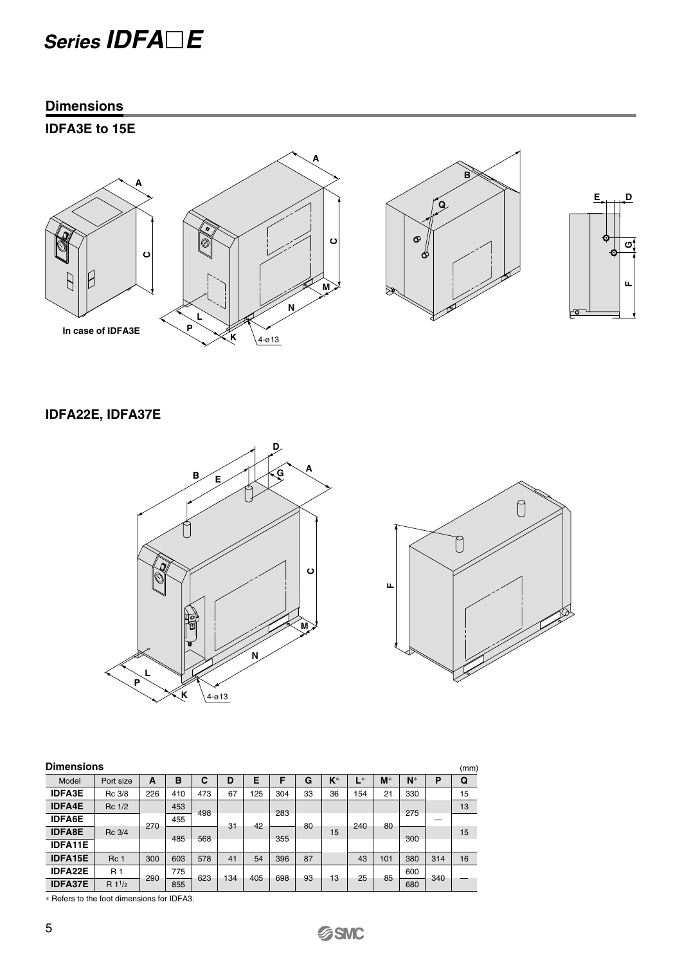### **Series IDFAE**

#### **Dimensions**

### **IDFA3E to 15E**



### **IDFA22E, IDFA37E**





| <b>Dimensions</b> |                |     |     |     |     |     |     |    |       |       |       |       |     | (mm) |
|-------------------|----------------|-----|-----|-----|-----|-----|-----|----|-------|-------|-------|-------|-----|------|
| Model             | Port size      | A   | в   | С   | D   | Е   |     | G  | $K^*$ | $L^*$ | $M^*$ | $N^*$ | P   | Q    |
| <b>IDFA3E</b>     | Rc 3/8         | 226 | 410 | 473 | 67  | 125 | 304 | 33 | 36    | 154   | 21    | 330   |     | 15   |
| <b>IDFA4E</b>     | Rc 1/2         |     | 453 | 498 |     |     | 283 |    |       |       |       | 275   |     | 13   |
| <b>IDFA6E</b>     |                | 270 | 455 |     | 31  | 42  |     | 80 |       | 240   | 80    |       |     |      |
| <b>IDFA8E</b>     | Rc 3/4         |     |     |     |     |     |     |    | 15    |       |       |       |     | 15   |
| <b>IDFA11E</b>    |                |     | 485 | 568 |     |     | 355 |    |       |       |       | 300   |     |      |
| <b>IDFA15E</b>    | Rc 1           | 300 | 603 | 578 | 41  | 54  | 396 | 87 |       | 43    | 101   | 380   | 314 | 16   |
| <b>IDFA22E</b>    | R <sub>1</sub> | 290 | 775 | 623 | 134 | 405 | 698 | 93 | 13    | 25    | 85    | 600   | 340 |      |
| <b>IDFA37E</b>    | $R1^{1/2}$     |     | 855 |     |     |     |     |    |       |       |       | 680   |     |      |

∗ Refers to the foot dimensions for IDFA3.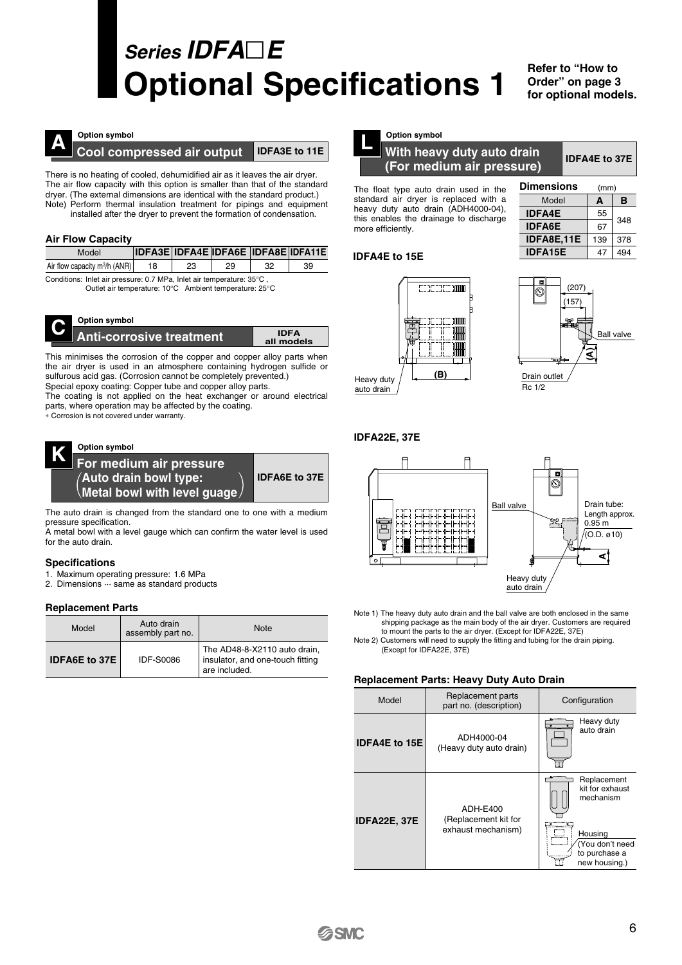## **Series IDFAE Optional Specifications 1**

**Refer to "How to Order" on page 3 for optional models.**

**IDFA4E to 37E**

348 378 494

**B** (mm)

**A**



#### **Option symbol**

**A Cool compressed air output IDFA3E to 11E** 

There is no heating of cooled, dehumidified air as it leaves the air dryer. The air flow capacity with this option is smaller than that of the standard dryer. (The external dimensions are identical with the standard product.) Note) Perform thermal insulation treatment for pipings and equipment installed after the dryer to prevent the formation of condensation.

#### **Air Flow Capacity**

| Model                                                                 |    |    |    |    | <b>IDFA3E IDFA4E IDFA6E IDFA8E IDFA11E</b> |  |  |  |  |
|-----------------------------------------------------------------------|----|----|----|----|--------------------------------------------|--|--|--|--|
| Air flow capacity $m^3/h$ (ANR)                                       | 18 | 23 | 29 | 32 | 39                                         |  |  |  |  |
| Conditions: Inlet air pressure: 0.7 MPa, Inlet air temperature: 35°C, |    |    |    |    |                                            |  |  |  |  |

Outlet air temperature: 10°C Ambient temperature: 25°C



#### **Option symbol**

| Anti-corrosive treatment | <b>IDFA</b><br>all models |
|--------------------------|---------------------------|
|                          |                           |

This minimises the corrosion of the copper and copper alloy parts when the air dryer is used in an atmosphere containing hydrogen sulfide or sulfurous acid gas. (Corrosion cannot be completely prevented.) Special epoxy coating: Copper tube and copper alloy parts.

The coating is not applied on the heat exchanger or around electrical parts, where operation may be affected by the coating.

∗ Corrosion is not covered under warranty.



The auto drain is changed from the standard one to one with a medium pressure specification.

A metal bowl with a level gauge which can confirm the water level is used for the auto drain.

#### **Specifications**

- 1. Maximum operating pressure: 1.6 MPa
- 2. Dimensions  $\cdots$  same as standard products

#### **Replacement Parts**

| Model                | Auto drain<br>assembly part no. | <b>Note</b>                                                                       |
|----------------------|---------------------------------|-----------------------------------------------------------------------------------|
| <b>IDFA6E to 37E</b> | <b>IDF-S0086</b>                | The AD48-8-X2110 auto drain,<br>insulator, and one-touch fitting<br>are included. |



#### **Option symbol**

#### **With heavy duty auto drain (For medium air pressure)**

The float type auto drain used in the standard air dryer is replaced with a heavy duty auto drain (ADH4000-04), this enables the drainage to discharge more efficiently.

#### **IDFA4E to 15E**





Model

**Dimensions**

**IDFA4E IDFA6E IDFA8E,11E IDFA15E**

Heavy duty

#### **IDFA22E, 37E**



Note 1) The heavy duty auto drain and the ball valve are both enclosed in the same shipping package as the main body of the air dryer. Customers are required to mount the parts to the air dryer. (Except for IDFA22E, 37E)

Note 2) Customers will need to supply the fitting and tubing for the drain piping. (Except for IDFA22E, 37E)

#### **Replacement Parts: Heavy Duty Auto Drain**

| Model                | Replacement parts<br>part no. (description)            | Configuration                                                                                               |
|----------------------|--------------------------------------------------------|-------------------------------------------------------------------------------------------------------------|
| <b>IDFA4E to 15E</b> | ADH4000-04<br>(Heavy duty auto drain)                  | Heavy duty<br>auto drain                                                                                    |
| <b>IDFA22E, 37E</b>  | ADH-E400<br>(Replacement kit for<br>exhaust mechanism) | Replacement<br>kit for exhaust<br>mechanism<br>Housing<br>(You don't need<br>to purchase a<br>new housing.) |

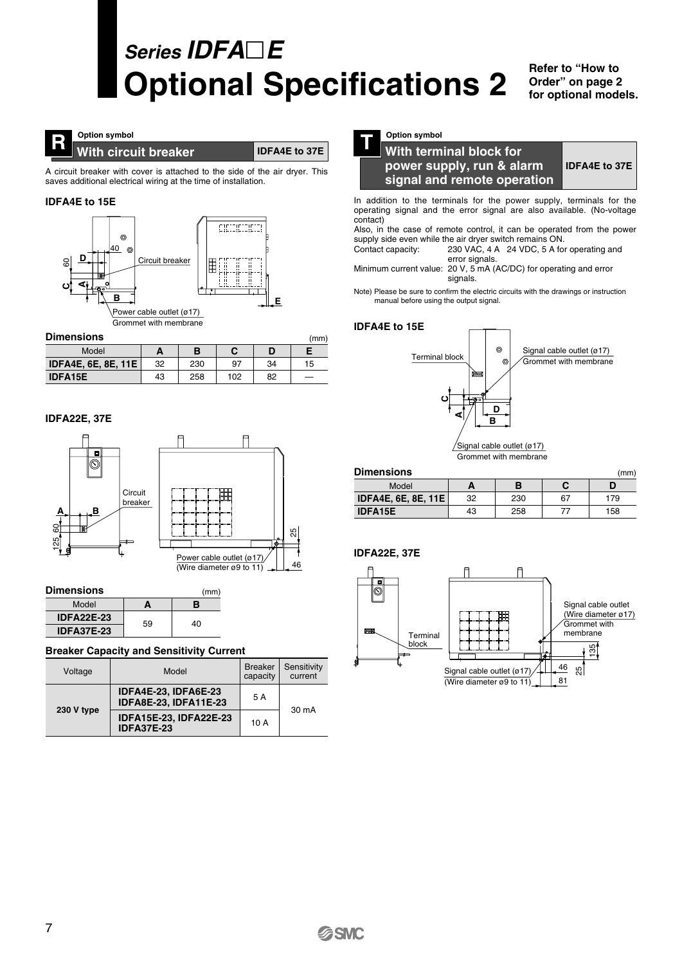## **Series IDFAE Optional Specifications 2**

(mm)

**Refer to "How to Order" on page 2 for optional models.**

### **R** With circuit breaker

**IDFA4E to 37E**

A circuit breaker with cover is attached to the side of the air dryer. This saves additional electrical wiring at the time of installation.

#### **IDFA4E to 15E**



#### **Dimensions**

| Model                      | ∼  |     |     |    |    |
|----------------------------|----|-----|-----|----|----|
| <b>IDFA4E, 6E, 8E, 11E</b> | 32 | 230 | 97  | 34 | 15 |
| <b>IDFA15E</b>             | 43 | 258 | 102 | 82 |    |

#### **IDFA22E, 37E**



| <b>Dimensions</b> |    | (mm) |  |  |
|-------------------|----|------|--|--|
| Model             | А  | в    |  |  |
| <b>IDFA22E-23</b> | 59 | 40   |  |  |
| <b>IDFA37E-23</b> |    |      |  |  |

#### **Breaker Capacity and Sensitivity Current**

| Voltage    | Model                                                | <b>Breaker</b><br>capacity | Sensitivity<br>current |
|------------|------------------------------------------------------|----------------------------|------------------------|
|            | IDFA4E-23, IDFA6E-23<br><b>IDFA8E-23, IDFA11E-23</b> | 5 A                        | 30 mA                  |
| 230 V type | IDFA15E-23, IDFA22E-23<br><b>IDFA37E-23</b>          | 10A                        |                        |



#### **T With terminal block for power supply, run & alarm signal and remote operation IDFA4E to 37E**

In addition to the terminals for the power supply, terminals for the operating signal and the error signal are also available. (No-voltage contact)

Also, in the case of remote control, it can be operated from the power supply side even while the air dryer switch remains ON.

Contact capacity: 230 VAC, 4 A 24 VDC, 5 A for operating and error signals.

Minimum current value: 20 V, 5 mA (AC/DC) for operating and error signals.

Note) Please be sure to confirm the electric circuits with the drawings or instruction manual before using the output signal.

#### **IDFA4E to 15E**



| <b>Dimensions</b><br>(mm)  |    |     |    |     |  |
|----------------------------|----|-----|----|-----|--|
| Model                      |    | В   |    |     |  |
| <b>IDFA4E, 6E, 8E, 11E</b> | 32 | 230 | 67 | 179 |  |
| <b>IDFA15E</b>             | 43 | 258 | 77 | 158 |  |



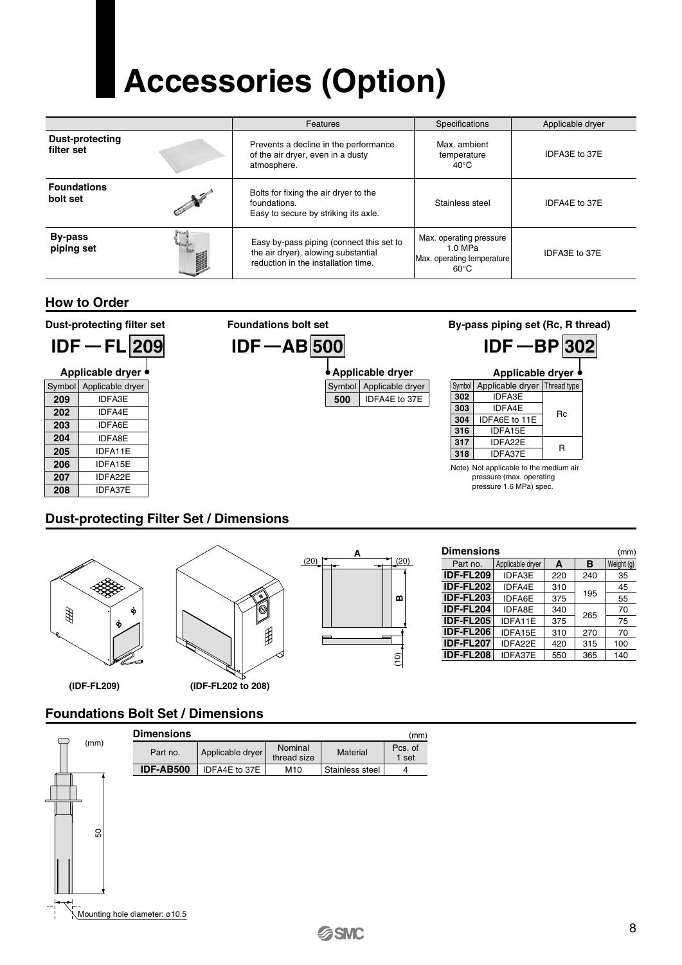# **Accessories (Option)**

|                                      |                       | Specifications<br>Features                                                                                             |                                                                                      | Applicable dryer |
|--------------------------------------|-----------------------|------------------------------------------------------------------------------------------------------------------------|--------------------------------------------------------------------------------------|------------------|
| <b>Dust-protecting</b><br>filter set |                       | Prevents a decline in the performance<br>of the air dryer, even in a dusty<br>atmosphere.                              | Max. ambient<br>temperature<br>$40^{\circ}$ C                                        | IDFA3E to 37E    |
| <b>Foundations</b><br>bolt set       | No of the contract of | Bolts for fixing the air dryer to the<br>foundations.<br>Easy to secure by striking its axle.                          | Stainless steel                                                                      | IDFA4E to 37E    |
| <b>By-pass</b><br>piping set         |                       | Easy by-pass piping (connect this set to<br>the air dryer), alowing substantial<br>reduction in the installation time. | Max. operating pressure<br>$1.0$ MPa<br>Max. operating temperature<br>$60^{\circ}$ C | IDFA3E to 37E    |

#### **How to Order**

**Dust-protecting filter set**





| Symbol         | Applicable dryer | I hread type |
|----------------|------------------|--------------|
| 302            | <b>IDFA3E</b>    |              |
| 303            | IDFA4E           |              |
| 304            | IDFA6E to 11E    | Rc           |
| 316            | IDFA15E          |              |
| 317            | IDFA22E          | R            |
| 318<br>IDFA37E |                  |              |
|                |                  |              |

Note) Not applicable to the medium air pressure (max. operating pressure 1.6 MPa) spec.

#### **Dust-protecting Filter Set / Dimensions**



閞



| <b>Dimensions</b><br>(mm) |                             |     |     |            |  |
|---------------------------|-----------------------------|-----|-----|------------|--|
| Part no.                  | Applicable dryer            |     |     | Weight (g) |  |
| <b>IDF-FL209</b>          | <b>IDFA3E</b><br>220<br>240 |     | 35  |            |  |
| <b>IDF-FL202</b>          | <b>IDFA4E</b>               | 310 |     | 45         |  |
| <b>IDF-FL203</b>          | <b>IDFA6E</b>               | 375 | 195 | 55         |  |
| IDF-FL204                 | <b>IDFA8E</b>               | 340 | 265 | 70         |  |
| <b>IDF-FL205</b>          | IDFA11E                     | 375 |     | 75         |  |
| <b>IDF-FL206</b>          | IDFA15E                     | 310 | 270 | 70         |  |
| <b>IDF-FL207</b>          | IDFA22E                     | 420 | 315 | 100        |  |
| <b>IDF-FL208</b>          | IDFA37E                     | 550 | 365 | 140        |  |

#### **Foundations Bolt Set / Dimensions**

**(IDF-FL209) (IDF-FL202 to 208)**

|      | <b>Dimensions</b> |                  |                        |                 | (mm)             |
|------|-------------------|------------------|------------------------|-----------------|------------------|
| (mm) | Part no.          | Applicable dryer | Nominal<br>thread size | <b>Material</b> | Pcs. of<br>1 set |
|      | <b>IDF-AB500</b>  | IDFA4E to 37E    | M10                    | Stainless steel | 4                |
|      |                   |                  |                        |                 |                  |



50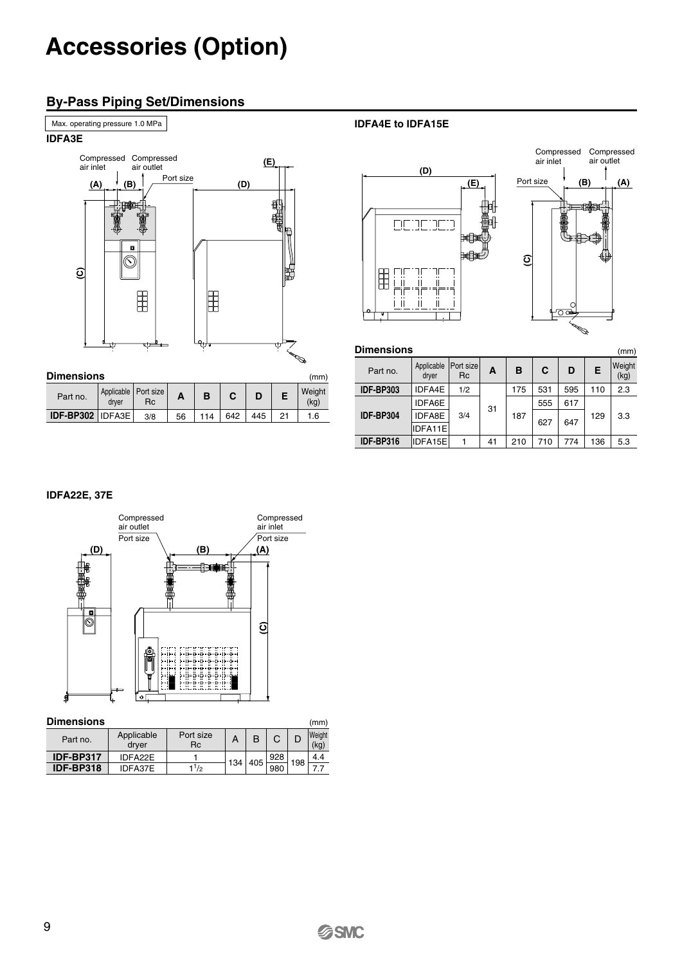## **Accessories (Option)**

#### **By-Pass Piping Set/Dimensions**



**IDFA4E to IDFA15E**



| <b>Dimensions</b><br>(mm) |                     |                        |    |     |     |     |     |                |
|---------------------------|---------------------|------------------------|----|-----|-----|-----|-----|----------------|
| Part no.                  | Applicable<br>dryer | Port size<br><b>Rc</b> | A  | B   | C   | D   | Е   | Weight<br>(kg) |
| <b>IDF-BP303</b>          | IDFA4E              | 1/2                    |    | 175 | 531 | 595 | 110 | 2.3            |
|                           | <b>IDFA6E</b>       |                        | 31 | 187 | 555 | 617 |     |                |
| <b>IDF-BP304</b>          | <b>IDFA8E</b>       | 3/4                    |    |     | 627 | 647 | 129 | 3.3            |
|                           | IDFA11E             |                        |    |     |     |     |     |                |
| IDF-BP316                 | IDFA15E             |                        | 41 | 210 | 710 | 774 | 136 | 5.3            |
|                           |                     |                        |    |     |     |     |     |                |

#### **IDFA22E, 37E**



#### **Dimensions** (mm)

| Part no.         | Applicable<br>drver | Port size<br>Rc |     | B   |     |     | <b>Weight</b><br>(kg) |
|------------------|---------------------|-----------------|-----|-----|-----|-----|-----------------------|
| IDF-BP317        | IDFA22E             |                 |     | 405 | 928 | 198 | 4.4                   |
| <b>IDF-BP318</b> | IDFA37E             | 11/2            | 134 |     | 980 |     |                       |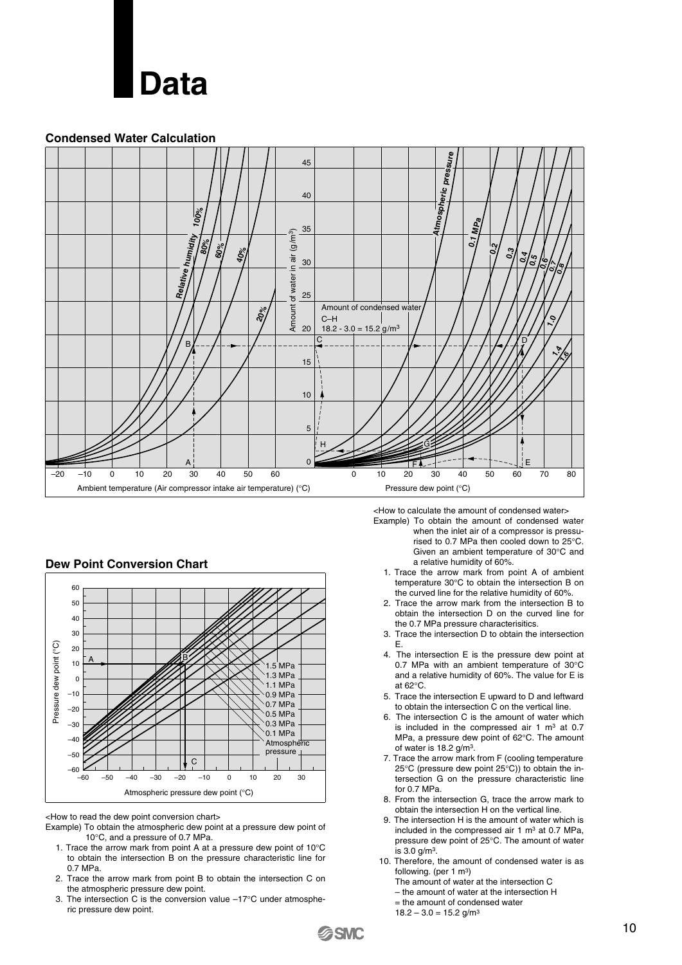

#### **Condensed Water Calculation**



#### **Dew Point Conversion Chart**



<How to read the dew point conversion chart>

Example) To obtain the atmospheric dew point at a pressure dew point of 10°C, and a pressure of 0.7 MPa.

- 1. Trace the arrow mark from point A at a pressure dew point of 10°C to obtain the intersection B on the pressure characteristic line for 0.7 MPa.
- 2. Trace the arrow mark from point B to obtain the intersection C on the atmospheric pressure dew point.
- 3. The intersection C is the conversion value –17°C under atmospheric pressure dew point.

<How to calculate the amount of condensed water>

- Example) To obtain the amount of condensed water when the inlet air of a compressor is pressurised to 0.7 MPa then cooled down to 25°C. Given an ambient temperature of 30°C and a relative humidity of 60%.
	- 1. Trace the arrow mark from point A of ambient temperature 30°C to obtain the intersection B on the curved line for the relative humidity of 60%.
	- 2. Trace the arrow mark from the intersection B to obtain the intersection D on the curved line for the 0.7 MPa pressure characterisitics.
	- 3. Trace the intersection D to obtain the intersection E.
	- 4. The intersection E is the pressure dew point at 0.7 MPa with an ambient temperature of 30°C and a relative humidity of 60%. The value for E is at 62°C.
	- 5. Trace the intersection E upward to D and leftward to obtain the intersection C on the vertical line.
	- 6. The intersection C is the amount of water which is included in the compressed air  $1 \text{ m}^3$  at 0.7 MPa, a pressure dew point of 62°C. The amount of water is 18.2 g/m3.
	- 7. Trace the arrow mark from F (cooling temperature 25°C (pressure dew point 25°C)) to obtain the intersection G on the pressure characteristic line for 0.7 MPa.
	- 8. From the intersection G, trace the arrow mark to obtain the intersection H on the vertical line.
	- 9. The intersection H is the amount of water which is included in the compressed air  $1 \text{ m}^3$  at 0.7 MPa, pressure dew point of 25°C. The amount of water is 3.0 g/m3.
- 10. Therefore, the amount of condensed water is as following. (per 1 m<sup>3</sup>)
	- The amount of water at the intersection C
	- the amount of water at the intersection H
	- = the amount of condensed water
	- $18.2 3.0 = 15.2$  g/m<sup>3</sup>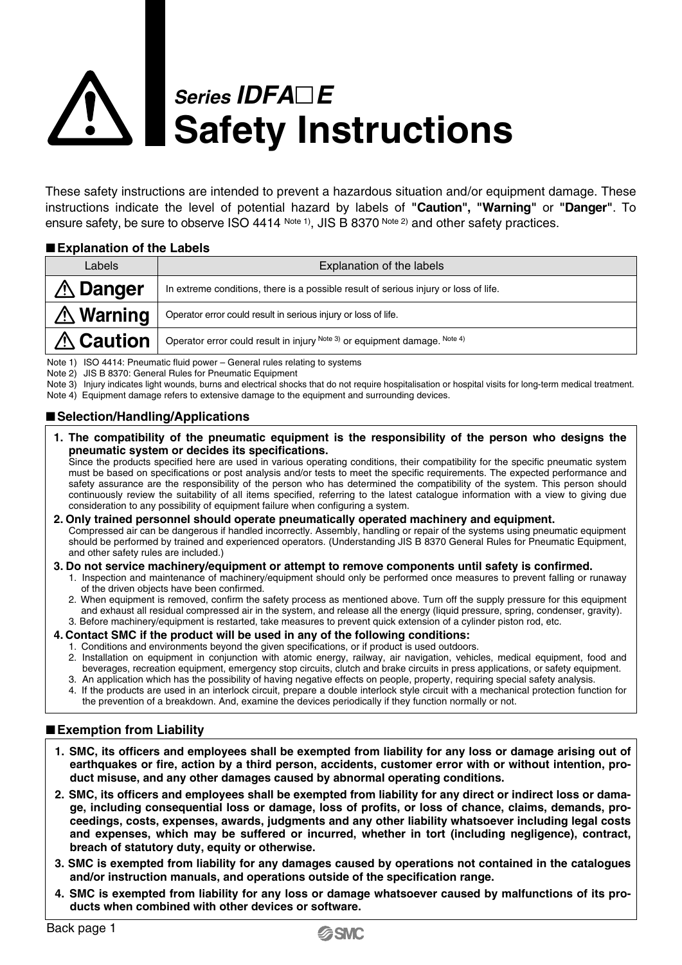# **Series** *IDFA***□***E* **Safety Instructions**

These safety instructions are intended to prevent a hazardous situation and/or equipment damage. These instructions indicate the level of potential hazard by labels of **"Caution", "Warning"** or **"Danger"**. To ensure safety, be sure to observe ISO 4414 Note 1), JIS B 8370 Note 2) and other safety practices.

#### **Explanation of the Labels**

| Labels           | Explanation of the labels                                                            |  |  |  |  |
|------------------|--------------------------------------------------------------------------------------|--|--|--|--|
| <b>∆ Danger</b>  | In extreme conditions, there is a possible result of serious injury or loss of life. |  |  |  |  |
| <b>∆ Warning</b> | Operator error could result in serious injury or loss of life.                       |  |  |  |  |
| <b>∆ Caution</b> | Operator error could result in injury Note 3) or equipment damage. Note 4)           |  |  |  |  |

Note 1) ISO 4414: Pneumatic fluid power – General rules relating to systems

Note 2) JIS B 8370: General Rules for Pneumatic Equipment

Note 3) Injury indicates light wounds, burns and electrical shocks that do not require hospitalisation or hospital visits for long-term medical treatment.

Note 4) Equipment damage refers to extensive damage to the equipment and surrounding devices.

#### ■ Selection/Handling/Applications

**1. The compatibility of the pneumatic equipment is the responsibility of the person who designs the pneumatic system or decides its specifications.**

Since the products specified here are used in various operating conditions, their compatibility for the specific pneumatic system must be based on specifications or post analysis and/or tests to meet the specific requirements. The expected performance and safety assurance are the responsibility of the person who has determined the compatibility of the system. This person should continuously review the suitability of all items specified, referring to the latest catalogue information with a view to giving due consideration to any possibility of equipment failure when configuring a system.

- **2. Only trained personnel should operate pneumatically operated machinery and equipment.** Compressed air can be dangerous if handled incorrectly. Assembly, handling or repair of the systems using pneumatic equipment should be performed by trained and experienced operators. (Understanding JIS B 8370 General Rules for Pneumatic Equipment, and other safety rules are included.)
- **3. Do not service machinery/equipment or attempt to remove components until safety is confirmed.**
	- 1. Inspection and maintenance of machinery/equipment should only be performed once measures to prevent falling or runaway of the driven objects have been confirmed.
	- 2. When equipment is removed, confirm the safety process as mentioned above. Turn off the supply pressure for this equipment and exhaust all residual compressed air in the system, and release all the energy (liquid pressure, spring, condenser, gravity). 3. Before machinery/equipment is restarted, take measures to prevent quick extension of a cylinder piston rod, etc.
- **4. Contact SMC if the product will be used in any of the following conditions:**
	- 1. Conditions and environments beyond the given specifications, or if product is used outdoors.
	- 2. Installation on equipment in conjunction with atomic energy, railway, air navigation, vehicles, medical equipment, food and beverages, recreation equipment, emergency stop circuits, clutch and brake circuits in press applications, or safety equipment.
	- 3. An application which has the possibility of having negative effects on people, property, requiring special safety analysis. 4. If the products are used in an interlock circuit, prepare a double interlock style circuit with a mechanical protection function for the prevention of a breakdown. And, examine the devices periodically if they function normally or not.

#### **Exemption from Liability**

- **1. SMC, its officers and employees shall be exempted from liability for any loss or damage arising out of earthquakes or fire, action by a third person, accidents, customer error with or without intention, product misuse, and any other damages caused by abnormal operating conditions.**
- **2. SMC, its officers and employees shall be exempted from liability for any direct or indirect loss or damage, including consequential loss or damage, loss of profits, or loss of chance, claims, demands, proceedings, costs, expenses, awards, judgments and any other liability whatsoever including legal costs and expenses, which may be suffered or incurred, whether in tort (including negligence), contract, breach of statutory duty, equity or otherwise.**
- **3. SMC is exempted from liability for any damages caused by operations not contained in the catalogues and/or instruction manuals, and operations outside of the specification range.**
- **4. SMC is exempted from liability for any loss or damage whatsoever caused by malfunctions of its products when combined with other devices or software.**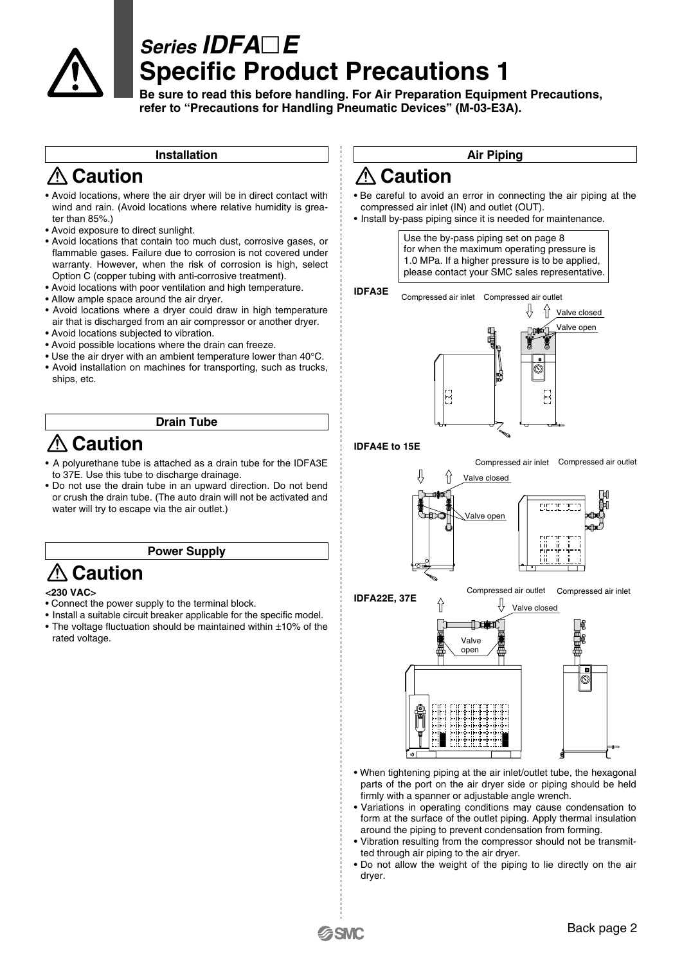

### **Series IDFAE Specific Product Precautions 1**

**Be sure to read this before handling. For Air Preparation Equipment Precautions, refer to "Precautions for Handling Pneumatic Devices" (M-03-E3A).**

#### **Installation**

### **Caution**

- Avoid locations, where the air dryer will be in direct contact with wind and rain. (Avoid locations where relative humidity is greater than 85%.)
- Avoid exposure to direct sunlight.
- Avoid locations that contain too much dust, corrosive gases, or flammable gases. Failure due to corrosion is not covered under warranty. However, when the risk of corrosion is high, select Option C (copper tubing with anti-corrosive treatment).
- Avoid locations with poor ventilation and high temperature.
- Allow ample space around the air dryer.
- Avoid locations where a dryer could draw in high temperature air that is discharged from an air compressor or another dryer.
- Avoid locations subjected to vibration.
- Avoid possible locations where the drain can freeze.
- Use the air dryer with an ambient temperature lower than 40°C.
- Avoid installation on machines for transporting, such as trucks, ships, etc.

#### **Drain Tube**

### **Caution**

- A polyurethane tube is attached as a drain tube for the IDFA3E to 37E. Use this tube to discharge drainage.
- Do not use the drain tube in an upward direction. Do not bend or crush the drain tube. (The auto drain will not be activated and water will try to escape via the air outlet.)

#### **Power Supply**

### **Caution**

#### **<230 VAC>**

- Connect the power supply to the terminal block.
- Install a suitable circuit breaker applicable for the specific model. • The voltage fluctuation should be maintained within ±10% of the rated voltage.

#### **Air Piping**

### **∆ Caution**

- Be careful to avoid an error in connecting the air piping at the compressed air inlet (IN) and outlet (OUT).
- Install by-pass piping since it is needed for maintenance.

Use the by-pass piping set on page 8 for when the maximum operating pressure is 1.0 MPa. If a higher pressure is to be applied. please contact your SMC sales representative.



#### **IDFA4E to 15E**

Compressed air inlet Compressed air outlet









• When tightening piping at the air inlet/outlet tube, the hexagonal parts of the port on the air dryer side or piping should be held firmly with a spanner or adjustable angle wrench.

- Variations in operating conditions may cause condensation to form at the surface of the outlet piping. Apply thermal insulation around the piping to prevent condensation from forming.
- Vibration resulting from the compressor should not be transmitted through air piping to the air dryer.
- Do not allow the weight of the piping to lie directly on the air dryer.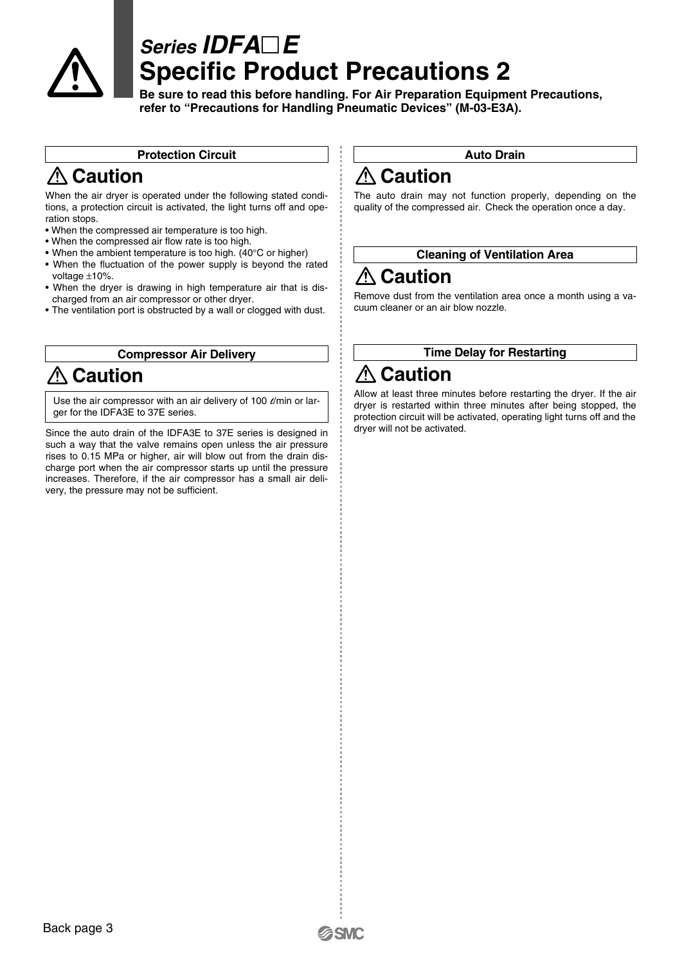

### **Series IDFAE Specific Product Precautions 2**

**Be sure to read this before handling. For Air Preparation Equipment Precautions, refer to "Precautions for Handling Pneumatic Devices" (M-03-E3A).**

#### **Protection Circuit**

### **Caution**

When the air dryer is operated under the following stated conditions, a protection circuit is activated, the light turns off and operation stops.

- When the compressed air temperature is too high.
- When the compressed air flow rate is too high.
- When the ambient temperature is too high. (40°C or higher)
- When the fluctuation of the power supply is beyond the rated voltage  $\pm 10\%$ .
- When the dryer is drawing in high temperature air that is discharged from an air compressor or other dryer.
- The ventilation port is obstructed by a wall or clogged with dust.

#### **Compressor Air Delivery**

### **Caution**

Use the air compressor with an air delivery of 100  $\ell$ /min or larger for the IDFA3E to 37E series.

Since the auto drain of the IDFA3E to 37E series is designed in such a way that the valve remains open unless the air pressure rises to 0.15 MPa or higher, air will blow out from the drain discharge port when the air compressor starts up until the pressure increases. Therefore, if the air compressor has a small air delivery, the pressure may not be sufficient.

#### **Auto Drain**

### **Caution**

The auto drain may not function properly, depending on the quality of the compressed air. Check the operation once a day.

#### **Cleaning of Ventilation Area**

### **Caution**

Remove dust from the ventilation area once a month using a vacuum cleaner or an air blow nozzle.

#### **Time Delay for Restarting**

### **Caution**

Allow at least three minutes before restarting the dryer. If the air dryer is restarted within three minutes after being stopped, the protection circuit will be activated, operating light turns off and the dryer will not be activated.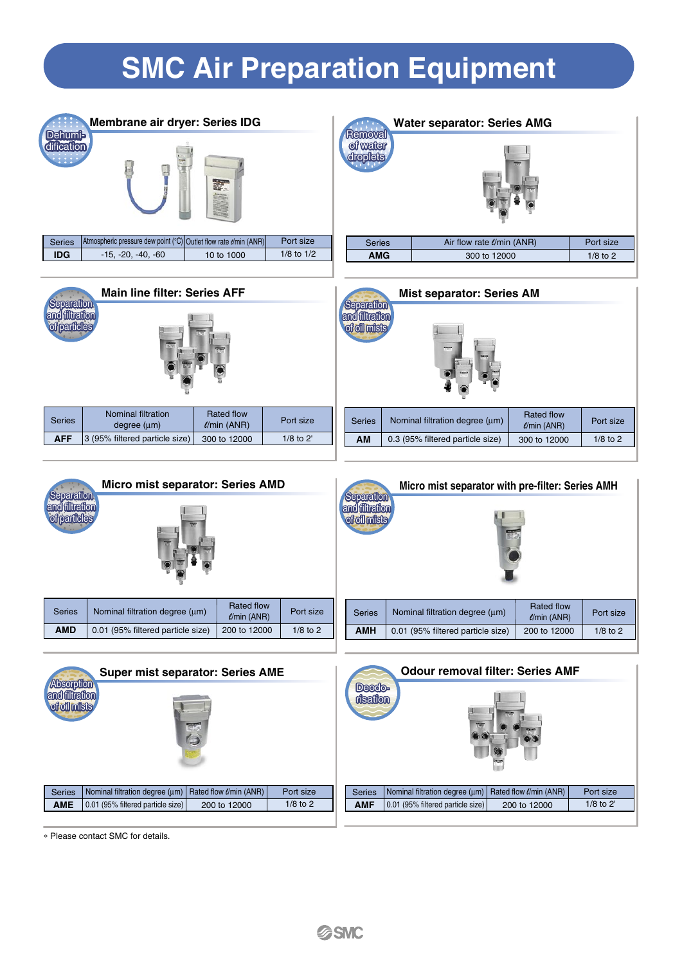## **SMC Air Preparation Equipment**







**AFF** 3 (95% filtered particle size) 300 to 12000 1/8 to 2'

| ain line filter: Series AFF             |                                 |               | Separation                                           | <b>Mist separator: Series AM</b> |                                        |            |
|-----------------------------------------|---------------------------------|---------------|------------------------------------------------------|----------------------------------|----------------------------------------|------------|
| 医型<br><b>The State</b>                  |                                 |               | iltration<br><b>of oil mists</b><br><b>The State</b> |                                  |                                        |            |
| <b>ominal filtration</b><br>degree (um) | Rated flow<br>$\ell$ /min (ANR) | Port size     | <b>Series</b>                                        | Nominal filtration degree (μm)   | <b>Rated flow</b><br>$\ell$ /min (ANR) | Port size  |
| filtered particle size)                 | 300 to 12000                    | $1/8$ to $2'$ | AM                                                   | 0.3 (95% filtered particle size) | 300 to 12000                           | $1/8$ to 2 |
|                                         |                                 |               |                                                      |                                  |                                        |            |





∗ Please contact SMC for details.